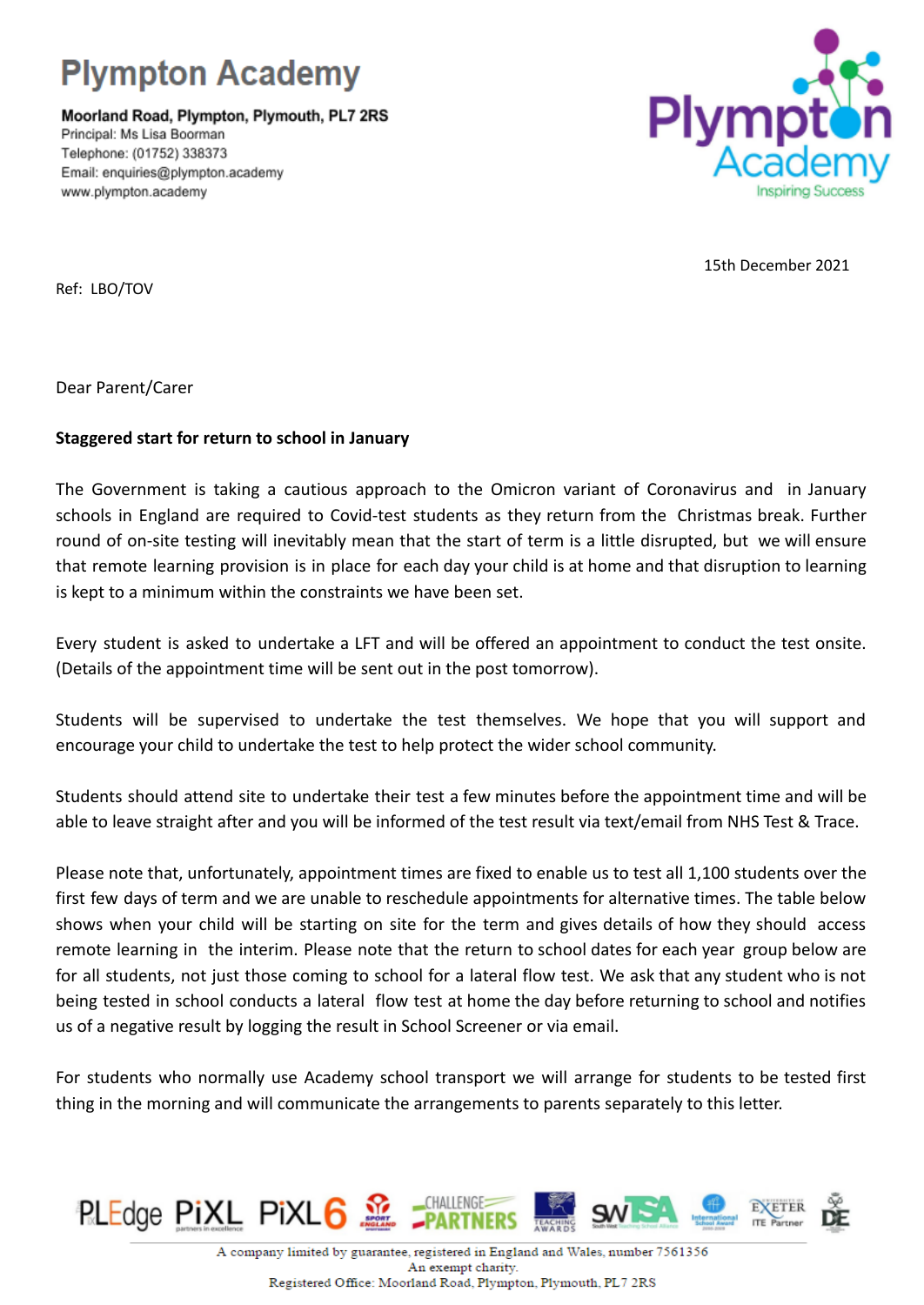

Moorland Road, Plympton, Plymouth, PL7 2RS Principal: Ms Lisa Boorman Telephone: (01752) 338373 Email: enquiries@plympton.academy www.plympton.academy



15th December 2021

Ref: LBO/TOV

Dear Parent/Carer

## **Staggered start for return to school in January**

The Government is taking a cautious approach to the Omicron variant of Coronavirus and in January schools in England are required to Covid-test students as they return from the Christmas break. Further round of on-site testing will inevitably mean that the start of term is a little disrupted, but we will ensure that remote learning provision is in place for each day your child is at home and that disruption to learning is kept to a minimum within the constraints we have been set.

Every student is asked to undertake a LFT and will be offered an appointment to conduct the test onsite. (Details of the appointment time will be sent out in the post tomorrow).

Students will be supervised to undertake the test themselves. We hope that you will support and encourage your child to undertake the test to help protect the wider school community.

Students should attend site to undertake their test a few minutes before the appointment time and will be able to leave straight after and you will be informed of the test result via text/email from NHS Test & Trace.

Please note that, unfortunately, appointment times are fixed to enable us to test all 1,100 students over the first few days of term and we are unable to reschedule appointments for alternative times. The table below shows when your child will be starting on site for the term and gives details of how they should access remote learning in the interim. Please note that the return to school dates for each year group below are for all students, not just those coming to school for a lateral flow test. We ask that any student who is not being tested in school conducts a lateral flow test at home the day before returning to school and notifies us of a negative result by logging the result in School Screener or via email.

For students who normally use Academy school transport we will arrange for students to be tested first thing in the morning and will communicate the arrangements to parents separately to this letter.

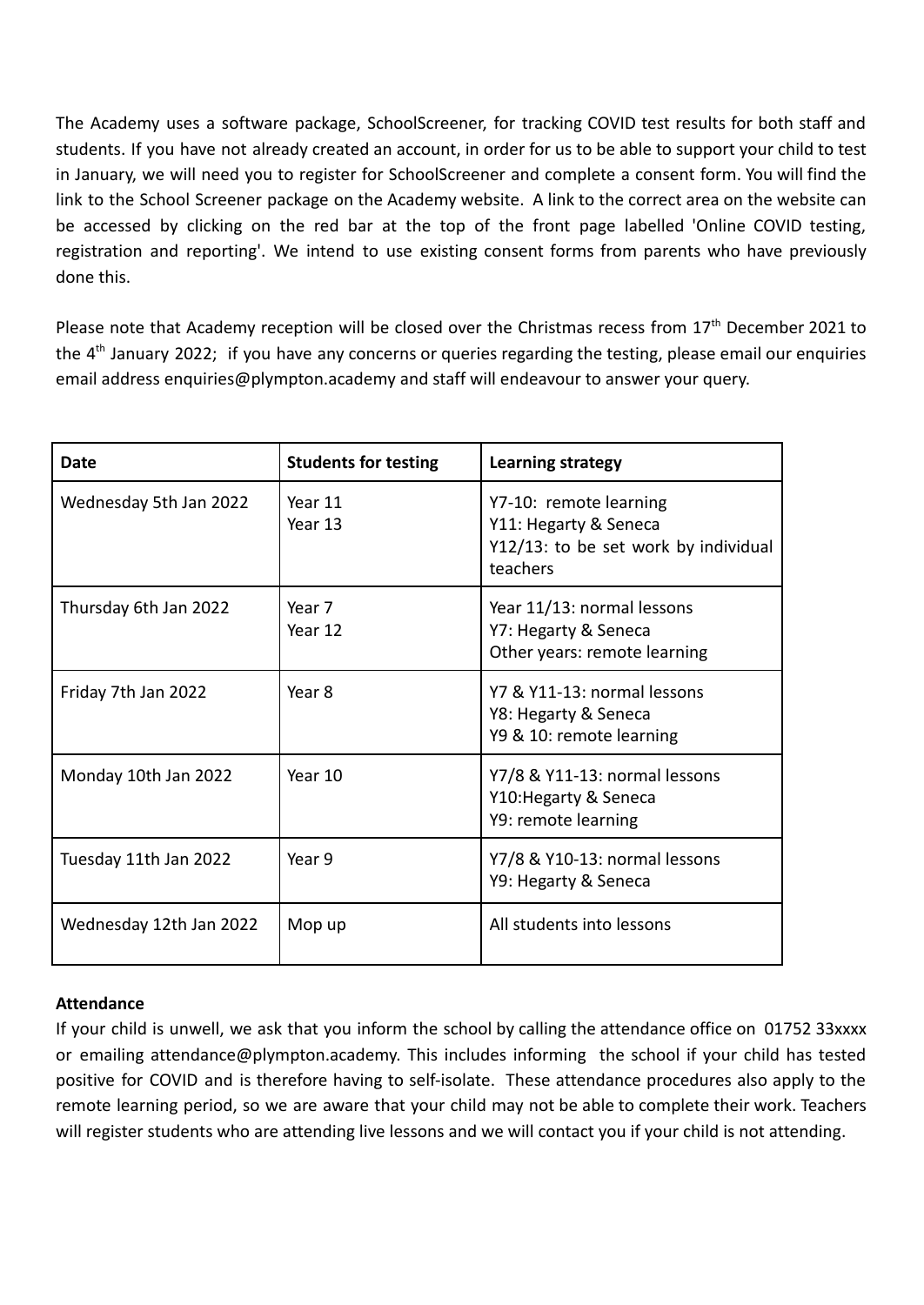The Academy uses a software package, SchoolScreener, for tracking COVID test results for both staff and students. If you have not already created an account, in order for us to be able to support your child to test in January, we will need you to register for SchoolScreener and complete a consent form. You will find the link to the School Screener package on the Academy website. A link to the correct area on the website can be accessed by clicking on the red bar at the top of the front page labelled 'Online COVID testing, registration and reporting'. We intend to use existing consent forms from parents who have previously done this.

Please note that Academy reception will be closed over the Christmas recess from 17<sup>th</sup> December 2021 to the 4<sup>th</sup> January 2022; if you have any concerns or queries regarding the testing, please email our enquiries email address enquiries@plympton.academy and staff will endeavour to answer your query.

| <b>Date</b>             | <b>Students for testing</b> | Learning strategy                                                                                   |
|-------------------------|-----------------------------|-----------------------------------------------------------------------------------------------------|
| Wednesday 5th Jan 2022  | Year 11<br>Year 13          | Y7-10: remote learning<br>Y11: Hegarty & Seneca<br>Y12/13: to be set work by individual<br>teachers |
| Thursday 6th Jan 2022   | Year 7<br>Year 12           | Year 11/13: normal lessons<br>Y7: Hegarty & Seneca<br>Other years: remote learning                  |
| Friday 7th Jan 2022     | Year 8                      | Y7 & Y11-13: normal lessons<br>Y8: Hegarty & Seneca<br>Y9 & 10: remote learning                     |
| Monday 10th Jan 2022    | Year 10                     | Y7/8 & Y11-13: normal lessons<br>Y10: Hegarty & Seneca<br>Y9: remote learning                       |
| Tuesday 11th Jan 2022   | Year 9                      | Y7/8 & Y10-13: normal lessons<br>Y9: Hegarty & Seneca                                               |
| Wednesday 12th Jan 2022 | Mop up                      | All students into lessons                                                                           |

## **Attendance**

If your child is unwell, we ask that you inform the school by calling the attendance office on 01752 33xxxx or emailing attendance@plympton.academy. This includes informing the school if your child has tested positive for COVID and is therefore having to self-isolate. These attendance procedures also apply to the remote learning period, so we are aware that your child may not be able to complete their work. Teachers will register students who are attending live lessons and we will contact you if your child is not attending.